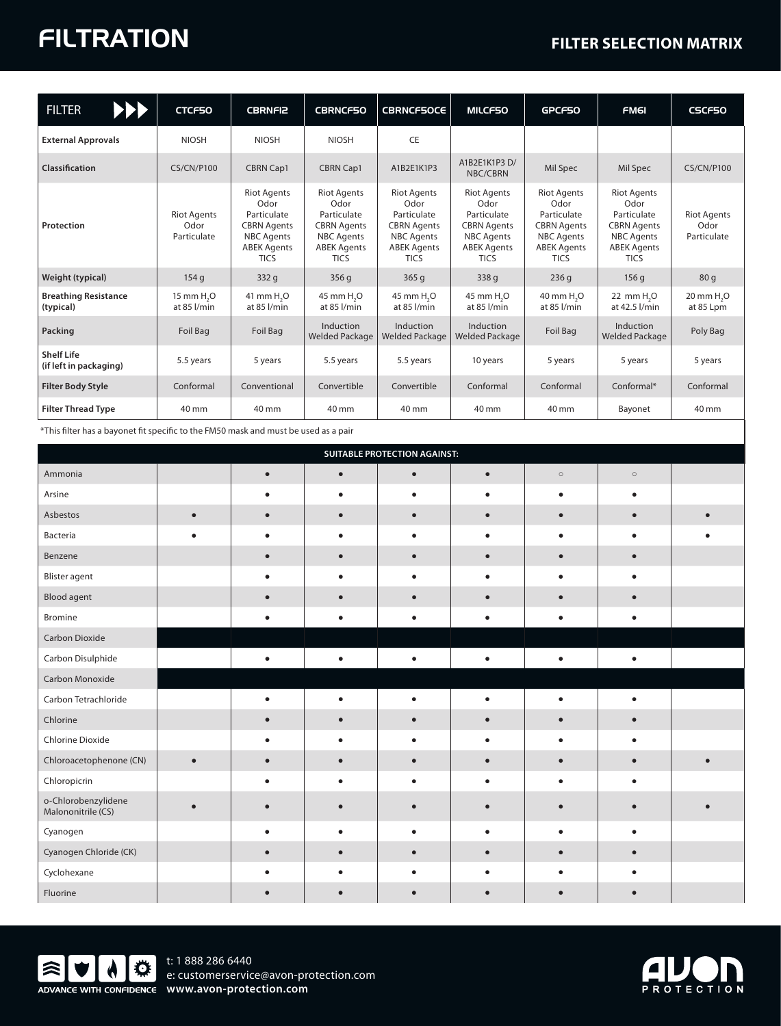## FILTRATION **FILTER SELECTION MATRIX**

| <b>FILTER</b><br>PPP                        | CTCF50                                    | <b>CBRNFI2</b>                                                                                                            | <b>CBRNCF50</b>                                                                                                           | <b>CBRNCF50CE</b>                                                                                                         | <b>MILCF50</b>                                                                                                            | GPCF50                                                                                                                    | <b>FM6I</b>                                                                                                               | <b>CSCF50</b>                             |
|---------------------------------------------|-------------------------------------------|---------------------------------------------------------------------------------------------------------------------------|---------------------------------------------------------------------------------------------------------------------------|---------------------------------------------------------------------------------------------------------------------------|---------------------------------------------------------------------------------------------------------------------------|---------------------------------------------------------------------------------------------------------------------------|---------------------------------------------------------------------------------------------------------------------------|-------------------------------------------|
| <b>External Approvals</b>                   | <b>NIOSH</b>                              | <b>NIOSH</b>                                                                                                              | <b>NIOSH</b>                                                                                                              | <b>CE</b>                                                                                                                 |                                                                                                                           |                                                                                                                           |                                                                                                                           |                                           |
| Classification                              | <b>CS/CN/P100</b>                         | <b>CBRN Cap1</b>                                                                                                          | <b>CBRN Cap1</b>                                                                                                          | A1B2E1K1P3                                                                                                                | A1B2E1K1P3 D/<br>NBC/CBRN                                                                                                 | Mil Spec                                                                                                                  | Mil Spec                                                                                                                  | <b>CS/CN/P100</b>                         |
| Protection                                  | <b>Riot Agents</b><br>Odor<br>Particulate | <b>Riot Agents</b><br>Odor<br>Particulate<br><b>CBRN Agents</b><br><b>NBC Agents</b><br><b>ABEK Agents</b><br><b>TICS</b> | <b>Riot Agents</b><br>Odor<br>Particulate<br><b>CBRN Agents</b><br><b>NBC Agents</b><br><b>ABEK Agents</b><br><b>TICS</b> | <b>Riot Agents</b><br>Odor<br>Particulate<br><b>CBRN</b> Agents<br><b>NBC Agents</b><br><b>ABEK Agents</b><br><b>TICS</b> | <b>Riot Agents</b><br>Odor<br>Particulate<br><b>CBRN</b> Agents<br><b>NBC Agents</b><br><b>ABEK Agents</b><br><b>TICS</b> | <b>Riot Agents</b><br>Odor<br>Particulate<br><b>CBRN</b> Agents<br><b>NBC Agents</b><br><b>ABEK Agents</b><br><b>TICS</b> | <b>Riot Agents</b><br>Odor<br>Particulate<br><b>CBRN Agents</b><br><b>NBC Agents</b><br><b>ABEK Agents</b><br><b>TICS</b> | <b>Riot Agents</b><br>Odor<br>Particulate |
| Weight (typical)                            | 154q                                      | 332q                                                                                                                      | 356q                                                                                                                      | 365q                                                                                                                      | 338 g                                                                                                                     | 236q                                                                                                                      | 156q                                                                                                                      | 80q                                       |
| <b>Breathing Resistance</b><br>(typical)    | 15 mm H <sub>2</sub> O<br>at 85 l/min     | 41 mm H <sub>2</sub> O<br>at 85 l/min                                                                                     | 45 mm H <sub>2</sub> O<br>at 85 l/min                                                                                     | 45 mm H <sub>2</sub> O<br>at 85 l/min                                                                                     | 45 mm H <sub>2</sub> O<br>at 85 l/min                                                                                     | 40 mm H <sub>2</sub> O<br>at 85 l/min                                                                                     | 22 mm H <sub>2</sub> O<br>at 42.5 l/min                                                                                   | 20 mm H <sub>2</sub> O<br>at 85 Lpm       |
| Packing                                     | Foil Bag                                  | Foil Bag                                                                                                                  | Induction<br><b>Welded Package</b>                                                                                        | Induction<br><b>Welded Package</b>                                                                                        | Induction<br><b>Welded Package</b>                                                                                        | Foil Bag                                                                                                                  | Induction<br><b>Welded Package</b>                                                                                        | Poly Bag                                  |
| <b>Shelf Life</b><br>(if left in packaging) | 5.5 years                                 | 5 years                                                                                                                   | 5.5 years                                                                                                                 | 5.5 years                                                                                                                 | 10 years                                                                                                                  | 5 years                                                                                                                   | 5 years                                                                                                                   | 5 years                                   |
| <b>Filter Body Style</b>                    | Conformal                                 | Conventional                                                                                                              | Convertible                                                                                                               | Convertible                                                                                                               | Conformal                                                                                                                 | Conformal                                                                                                                 | Conformal*                                                                                                                | Conformal                                 |
| <b>Filter Thread Type</b>                   | 40 mm                                     | 40 mm                                                                                                                     | 40 mm                                                                                                                     | 40 mm                                                                                                                     | 40 mm                                                                                                                     | 40 mm                                                                                                                     | Bayonet                                                                                                                   | 40 mm                                     |

\*This filter has a bayonet fit specific to the FM50 mask and must be used as a pair

| <b>SUITABLE PROTECTION AGAINST:</b>       |           |           |           |           |           |           |           |  |
|-------------------------------------------|-----------|-----------|-----------|-----------|-----------|-----------|-----------|--|
| Ammonia                                   |           |           | $\bullet$ | $\bullet$ | $\bullet$ | $\circ$   | $\circ$   |  |
| Arsine                                    |           |           | $\bullet$ | $\bullet$ | $\bullet$ | $\bullet$ | $\bullet$ |  |
| Asbestos                                  | $\bullet$ |           | $\bullet$ | $\bullet$ | $\bullet$ | $\bullet$ | $\bullet$ |  |
| Bacteria                                  | $\bullet$ | ٠         | $\bullet$ | $\bullet$ | $\bullet$ | $\bullet$ | $\bullet$ |  |
| Benzene                                   |           |           | $\bullet$ |           | $\bullet$ | $\bullet$ | $\bullet$ |  |
| <b>Blister agent</b>                      |           |           |           | $\bullet$ | $\bullet$ | $\bullet$ |           |  |
| <b>Blood agent</b>                        |           |           | $\bullet$ | $\bullet$ | $\bullet$ | $\bullet$ | $\bullet$ |  |
| Bromine                                   |           | $\bullet$ | $\bullet$ | $\bullet$ | $\bullet$ | $\bullet$ | $\bullet$ |  |
| Carbon Dioxide                            |           |           |           |           |           |           |           |  |
| Carbon Disulphide                         |           | ٠         | $\bullet$ | $\bullet$ | $\bullet$ | $\bullet$ | ٠         |  |
| Carbon Monoxide                           |           |           |           |           |           |           |           |  |
| Carbon Tetrachloride                      |           |           | ٠         | $\bullet$ | $\bullet$ |           |           |  |
| Chlorine                                  |           |           | $\bullet$ | $\bullet$ | $\bullet$ | $\bullet$ | $\bullet$ |  |
| Chlorine Dioxide                          |           |           | $\bullet$ | $\bullet$ | $\bullet$ | $\bullet$ | $\bullet$ |  |
| Chloroacetophenone (CN)                   | $\bullet$ |           |           | $\bullet$ | $\bullet$ |           |           |  |
| Chloropicrin                              |           |           | $\bullet$ | $\bullet$ | $\bullet$ | $\bullet$ | ٠         |  |
| o-Chlorobenzylidene<br>Malononitrile (CS) |           |           |           |           | $\bullet$ | $\bullet$ |           |  |
| Cyanogen                                  |           | ٠         | $\bullet$ | $\bullet$ | $\bullet$ | $\bullet$ | $\bullet$ |  |
| Cyanogen Chloride (CK)                    |           |           | $\bullet$ | $\bullet$ | $\bullet$ | $\bullet$ | $\bullet$ |  |
| Cyclohexane                               |           |           |           |           | $\bullet$ |           |           |  |
| Fluorine                                  |           |           |           |           |           |           |           |  |



e: customerservice@avon-protection.com t: 1 888 286 6440



 $\mathbf{I}$